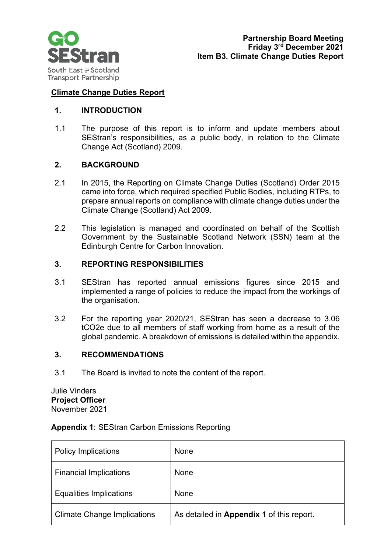

### **Climate Change Duties Report**

### **1. INTRODUCTION**

1.1 The purpose of this report is to inform and update members about SEStran's responsibilities, as a public body, in relation to the Climate Change Act (Scotland) 2009.

# **2. BACKGROUND**

- 2.1 In 2015, the Reporting on Climate Change Duties (Scotland) Order 2015 came into force, which required specified Public Bodies, including RTPs, to prepare annual reports on compliance with climate change duties under the Climate Change (Scotland) Act 2009.
- 2.2 This legislation is managed and coordinated on behalf of the Scottish Government by the Sustainable Scotland Network (SSN) team at the Edinburgh Centre for Carbon Innovation.

# **3. REPORTING RESPONSIBILITIES**

- 3.1 SEStran has reported annual emissions figures since 2015 and implemented a range of policies to reduce the impact from the workings of the organisation.
- 3.2 For the reporting year 2020/21, SEStran has seen a decrease to 3.06 tCO2e due to all members of staff working from home as a result of the global pandemic. A breakdown of emissions is detailed within the appendix.

#### **3. RECOMMENDATIONS**

3.1 The Board is invited to note the content of the report.

Julie Vinders **Project Officer** November 2021

|  | <b>Appendix 1: SEStran Carbon Emissions Reporting</b> |
|--|-------------------------------------------------------|
|--|-------------------------------------------------------|

| <b>Policy Implications</b>         | None                                      |
|------------------------------------|-------------------------------------------|
| <b>Financial Implications</b>      | None                                      |
| <b>Equalities Implications</b>     | None                                      |
| <b>Climate Change Implications</b> | As detailed in Appendix 1 of this report. |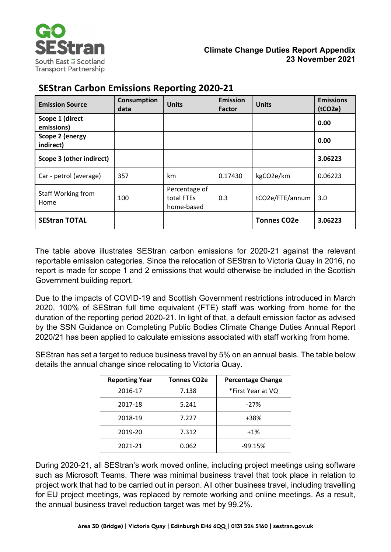

| <b>Emission Source</b>        | <b>Consumption</b><br>data | <b>Units</b>                              | <b>Emission</b><br>Factor | <b>Units</b>       | <b>Emissions</b><br>(tCO2e) |
|-------------------------------|----------------------------|-------------------------------------------|---------------------------|--------------------|-----------------------------|
| Scope 1 (direct<br>emissions) |                            |                                           |                           |                    | 0.00                        |
| Scope 2 (energy<br>indirect)  |                            |                                           |                           |                    | 0.00                        |
| Scope 3 (other indirect)      |                            |                                           |                           |                    | 3.06223                     |
| Car - petrol (average)        | 357                        | km                                        | 0.17430                   | kgCO2e/km          | 0.06223                     |
| Staff Working from<br>Home    | 100                        | Percentage of<br>total FTEs<br>home-based | 0.3                       | tCO2e/FTE/annum    | 3.0                         |
| <b>SEStran TOTAL</b>          |                            |                                           |                           | <b>Tonnes CO2e</b> | 3.06223                     |

The table above illustrates SEStran carbon emissions for 2020-21 against the relevant reportable emission categories. Since the relocation of SEStran to Victoria Quay in 2016, no report is made for scope 1 and 2 emissions that would otherwise be included in the Scottish Government building report.

Due to the impacts of COVID-19 and Scottish Government restrictions introduced in March 2020, 100% of SEStran full time equivalent (FTE) staff was working from home for the duration of the reporting period 2020-21. In light of that, a default emission factor as advised by the SSN Guidance on Completing Public Bodies Climate Change Duties Annual Report 2020/21 has been applied to calculate emissions associated with staff working from home.

SEStran has set a target to reduce business travel by 5% on an annual basis. The table below details the annual change since relocating to Victoria Quay.

| <b>Reporting Year</b> | <b>Tonnes CO2e</b> | <b>Percentage Change</b> |
|-----------------------|--------------------|--------------------------|
| 2016-17               | 7.138              | *First Year at VQ        |
| 2017-18               | 5.241              | $-27%$                   |
| 2018-19               | 7.227              | +38%                     |
| 2019-20               | 7.312              | $+1%$                    |
| 2021-21               | 0.062              | $-99.15%$                |

During 2020-21, all SEStran's work moved online, including project meetings using software such as Microsoft Teams. There was minimal business travel that took place in relation to project work that had to be carried out in person. All other business travel, including travelling for EU project meetings, was replaced by remote working and online meetings. As a result, the annual business travel reduction target was met by 99.2%.